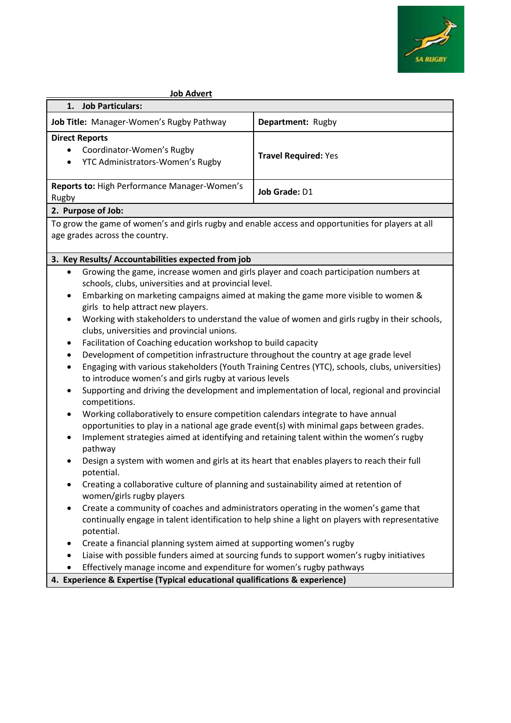

| Job Advert |  |
|------------|--|

| <b>Job Particulars:</b><br>1.<br>Job Title: Manager-Women's Rugby Pathway<br>Department: Rugby<br><b>Direct Reports</b><br>Coordinator-Women's Rugby<br>$\bullet$<br><b>Travel Required: Yes</b><br>YTC Administrators-Women's Rugby<br>٠<br>Reports to: High Performance Manager-Women's<br>Job Grade: D1<br>Rugby<br>2. Purpose of Job:<br>To grow the game of women's and girls rugby and enable access and opportunities for players at all<br>age grades across the country.<br>3. Key Results/ Accountabilities expected from job<br>Growing the game, increase women and girls player and coach participation numbers at<br>$\bullet$<br>schools, clubs, universities and at provincial level.<br>Embarking on marketing campaigns aimed at making the game more visible to women &<br>٠<br>girls to help attract new players.<br>Working with stakeholders to understand the value of women and girls rugby in their schools,<br>٠<br>clubs, universities and provincial unions.<br>Facilitation of Coaching education workshop to build capacity<br>٠<br>Development of competition infrastructure throughout the country at age grade level<br>$\bullet$<br>Engaging with various stakeholders (Youth Training Centres (YTC), schools, clubs, universities)<br>$\bullet$<br>to introduce women's and girls rugby at various levels<br>Supporting and driving the development and implementation of local, regional and provincial<br>٠<br>competitions.<br>Working collaboratively to ensure competition calendars integrate to have annual<br>٠<br>opportunities to play in a national age grade event(s) with minimal gaps between grades.<br>Implement strategies aimed at identifying and retaining talent within the women's rugby<br>$\bullet$<br>pathway<br>Design a system with women and girls at its heart that enables players to reach their full<br>potential.<br>Creating a collaborative culture of planning and sustainability aimed at retention of<br>women/girls rugby players<br>Create a community of coaches and administrators operating in the women's game that<br>continually engage in talent identification to help shine a light on players with representative<br>potential.<br>Create a financial planning system aimed at supporting women's rugby<br>Liaise with possible funders aimed at sourcing funds to support women's rugby initiatives | <b>Job Advert</b> |  |  |
|-------------------------------------------------------------------------------------------------------------------------------------------------------------------------------------------------------------------------------------------------------------------------------------------------------------------------------------------------------------------------------------------------------------------------------------------------------------------------------------------------------------------------------------------------------------------------------------------------------------------------------------------------------------------------------------------------------------------------------------------------------------------------------------------------------------------------------------------------------------------------------------------------------------------------------------------------------------------------------------------------------------------------------------------------------------------------------------------------------------------------------------------------------------------------------------------------------------------------------------------------------------------------------------------------------------------------------------------------------------------------------------------------------------------------------------------------------------------------------------------------------------------------------------------------------------------------------------------------------------------------------------------------------------------------------------------------------------------------------------------------------------------------------------------------------------------------------------------------------------------------------------------------------------------------------------------------------------------------------------------------------------------------------------------------------------------------------------------------------------------------------------------------------------------------------------------------------------------------------------------------------------------------------------------------------------------------------------------------------------------------------------------|-------------------|--|--|
|                                                                                                                                                                                                                                                                                                                                                                                                                                                                                                                                                                                                                                                                                                                                                                                                                                                                                                                                                                                                                                                                                                                                                                                                                                                                                                                                                                                                                                                                                                                                                                                                                                                                                                                                                                                                                                                                                                                                                                                                                                                                                                                                                                                                                                                                                                                                                                                           |                   |  |  |
|                                                                                                                                                                                                                                                                                                                                                                                                                                                                                                                                                                                                                                                                                                                                                                                                                                                                                                                                                                                                                                                                                                                                                                                                                                                                                                                                                                                                                                                                                                                                                                                                                                                                                                                                                                                                                                                                                                                                                                                                                                                                                                                                                                                                                                                                                                                                                                                           |                   |  |  |
|                                                                                                                                                                                                                                                                                                                                                                                                                                                                                                                                                                                                                                                                                                                                                                                                                                                                                                                                                                                                                                                                                                                                                                                                                                                                                                                                                                                                                                                                                                                                                                                                                                                                                                                                                                                                                                                                                                                                                                                                                                                                                                                                                                                                                                                                                                                                                                                           |                   |  |  |
|                                                                                                                                                                                                                                                                                                                                                                                                                                                                                                                                                                                                                                                                                                                                                                                                                                                                                                                                                                                                                                                                                                                                                                                                                                                                                                                                                                                                                                                                                                                                                                                                                                                                                                                                                                                                                                                                                                                                                                                                                                                                                                                                                                                                                                                                                                                                                                                           |                   |  |  |
|                                                                                                                                                                                                                                                                                                                                                                                                                                                                                                                                                                                                                                                                                                                                                                                                                                                                                                                                                                                                                                                                                                                                                                                                                                                                                                                                                                                                                                                                                                                                                                                                                                                                                                                                                                                                                                                                                                                                                                                                                                                                                                                                                                                                                                                                                                                                                                                           |                   |  |  |
|                                                                                                                                                                                                                                                                                                                                                                                                                                                                                                                                                                                                                                                                                                                                                                                                                                                                                                                                                                                                                                                                                                                                                                                                                                                                                                                                                                                                                                                                                                                                                                                                                                                                                                                                                                                                                                                                                                                                                                                                                                                                                                                                                                                                                                                                                                                                                                                           |                   |  |  |
|                                                                                                                                                                                                                                                                                                                                                                                                                                                                                                                                                                                                                                                                                                                                                                                                                                                                                                                                                                                                                                                                                                                                                                                                                                                                                                                                                                                                                                                                                                                                                                                                                                                                                                                                                                                                                                                                                                                                                                                                                                                                                                                                                                                                                                                                                                                                                                                           |                   |  |  |
|                                                                                                                                                                                                                                                                                                                                                                                                                                                                                                                                                                                                                                                                                                                                                                                                                                                                                                                                                                                                                                                                                                                                                                                                                                                                                                                                                                                                                                                                                                                                                                                                                                                                                                                                                                                                                                                                                                                                                                                                                                                                                                                                                                                                                                                                                                                                                                                           |                   |  |  |
|                                                                                                                                                                                                                                                                                                                                                                                                                                                                                                                                                                                                                                                                                                                                                                                                                                                                                                                                                                                                                                                                                                                                                                                                                                                                                                                                                                                                                                                                                                                                                                                                                                                                                                                                                                                                                                                                                                                                                                                                                                                                                                                                                                                                                                                                                                                                                                                           |                   |  |  |
|                                                                                                                                                                                                                                                                                                                                                                                                                                                                                                                                                                                                                                                                                                                                                                                                                                                                                                                                                                                                                                                                                                                                                                                                                                                                                                                                                                                                                                                                                                                                                                                                                                                                                                                                                                                                                                                                                                                                                                                                                                                                                                                                                                                                                                                                                                                                                                                           |                   |  |  |
|                                                                                                                                                                                                                                                                                                                                                                                                                                                                                                                                                                                                                                                                                                                                                                                                                                                                                                                                                                                                                                                                                                                                                                                                                                                                                                                                                                                                                                                                                                                                                                                                                                                                                                                                                                                                                                                                                                                                                                                                                                                                                                                                                                                                                                                                                                                                                                                           |                   |  |  |
|                                                                                                                                                                                                                                                                                                                                                                                                                                                                                                                                                                                                                                                                                                                                                                                                                                                                                                                                                                                                                                                                                                                                                                                                                                                                                                                                                                                                                                                                                                                                                                                                                                                                                                                                                                                                                                                                                                                                                                                                                                                                                                                                                                                                                                                                                                                                                                                           |                   |  |  |
|                                                                                                                                                                                                                                                                                                                                                                                                                                                                                                                                                                                                                                                                                                                                                                                                                                                                                                                                                                                                                                                                                                                                                                                                                                                                                                                                                                                                                                                                                                                                                                                                                                                                                                                                                                                                                                                                                                                                                                                                                                                                                                                                                                                                                                                                                                                                                                                           |                   |  |  |
|                                                                                                                                                                                                                                                                                                                                                                                                                                                                                                                                                                                                                                                                                                                                                                                                                                                                                                                                                                                                                                                                                                                                                                                                                                                                                                                                                                                                                                                                                                                                                                                                                                                                                                                                                                                                                                                                                                                                                                                                                                                                                                                                                                                                                                                                                                                                                                                           |                   |  |  |
|                                                                                                                                                                                                                                                                                                                                                                                                                                                                                                                                                                                                                                                                                                                                                                                                                                                                                                                                                                                                                                                                                                                                                                                                                                                                                                                                                                                                                                                                                                                                                                                                                                                                                                                                                                                                                                                                                                                                                                                                                                                                                                                                                                                                                                                                                                                                                                                           |                   |  |  |
|                                                                                                                                                                                                                                                                                                                                                                                                                                                                                                                                                                                                                                                                                                                                                                                                                                                                                                                                                                                                                                                                                                                                                                                                                                                                                                                                                                                                                                                                                                                                                                                                                                                                                                                                                                                                                                                                                                                                                                                                                                                                                                                                                                                                                                                                                                                                                                                           |                   |  |  |

• Effectively manage income and expenditure for women's rugby pathways

**4. Experience & Expertise (Typical educational qualifications & experience)**